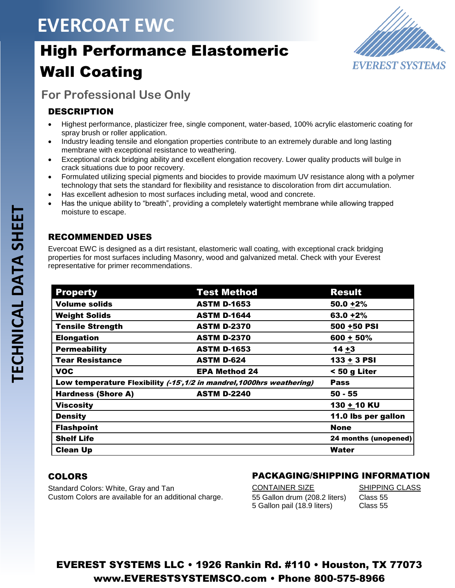# **EVERCOAT EWC**

# High Performance Elastomeric Wall Coating



## **For Professional Use Only**

### DESCRIPTION

- Highest performance, plasticizer free, single component, water-based, 100% acrylic elastomeric coating for spray brush or roller application.
- Industry leading tensile and elongation properties contribute to an extremely durable and long lasting membrane with exceptional resistance to weathering.
- Exceptional crack bridging ability and excellent elongation recovery. Lower quality products will bulge in crack situations due to poor recovery.
- Formulated utilizing special pigments and biocides to provide maximum UV resistance along with a polymer technology that sets the standard for flexibility and resistance to discoloration from dirt accumulation.
- Has excellent adhesion to most surfaces including metal, wood and concrete.
- Has the unique ability to "breath", providing a completely watertight membrane while allowing trapped moisture to escape.

### RECOMMENDED USES

Evercoat EWC is designed as a dirt resistant, elastomeric wall coating, with exceptional crack bridging properties for most surfaces including Masonry, wood and galvanized metal. Check with your Everest representative for primer recommendations.

| <b>Property</b>                                                        | <b>Test Method</b>   | <b>Result</b>        |
|------------------------------------------------------------------------|----------------------|----------------------|
| <b>Volume solids</b>                                                   | <b>ASTM D-1653</b>   | $50.0 + 2%$          |
| <b>Weight Solids</b>                                                   | <b>ASTM D-1644</b>   | $63.0 + 2%$          |
| <b>Tensile Strength</b>                                                | <b>ASTM D-2370</b>   | 500 +50 PSI          |
| <b>Elongation</b>                                                      | <b>ASTM D-2370</b>   | $600 + 50%$          |
| <b>Permeability</b>                                                    | <b>ASTM D-1653</b>   | $14 + 3$             |
| <b>Tear Resistance</b>                                                 | <b>ASTM D-624</b>    | $133 + 3$ PSI        |
| <b>VOC</b>                                                             | <b>EPA Method 24</b> | < 50 g Liter         |
| Low temperature Flexibility (-15°, 1/2 in mandrel, 1000hrs weathering) |                      | <b>Pass</b>          |
| <b>Hardness (Shore A)</b>                                              | <b>ASTM D-2240</b>   | $50 - 55$            |
| <b>Viscosity</b>                                                       |                      | 130 + 10 KU          |
| <b>Density</b>                                                         |                      | 11.0 lbs per gallon  |
| <b>Flashpoint</b>                                                      |                      | <b>None</b>          |
| <b>Shelf Life</b>                                                      |                      | 24 months (unopened) |
| <b>Clean Up</b>                                                        |                      | Water                |

### COLORS

Standard Colors: White, Gray and Tan Custom Colors are available for an additional charge.

## PACKAGING/SHIPPING INFORMATION

CONTAINER SIZE SHIPPING CLASS 55 Gallon drum (208.2 liters) Class 55 5 Gallon pail (18.9 liters) Class 55

## EVEREST SYSTEMS LLC • 1926 Rankin Rd. #110 • Houston, TX 77073 www.EVERESTSYSTEMSCO.com • Phone 800-575-8966